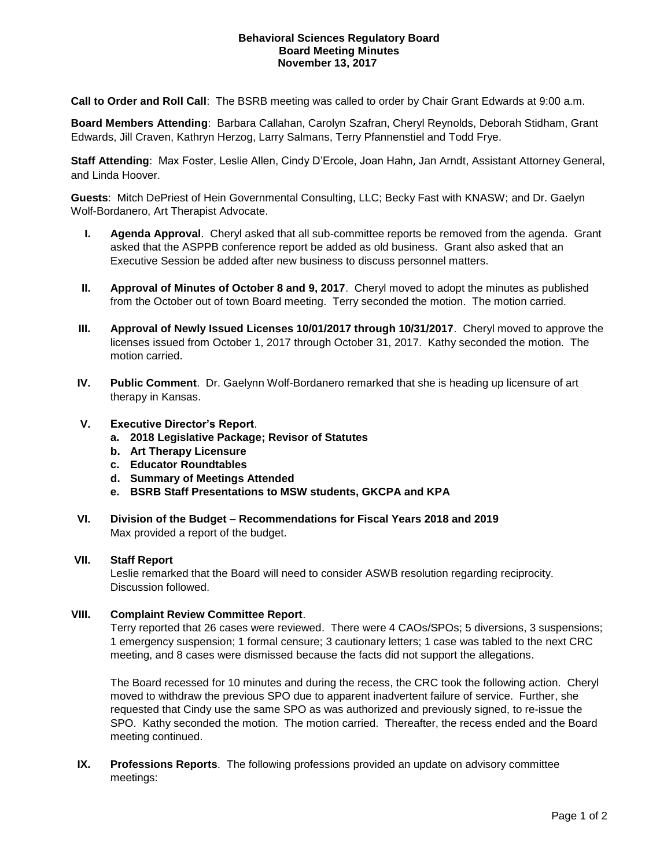#### **Behavioral Sciences Regulatory Board Board Meeting Minutes November 13, 2017**

**Call to Order and Roll Call**: The BSRB meeting was called to order by Chair Grant Edwards at 9:00 a.m.

**Board Members Attending**: Barbara Callahan, Carolyn Szafran, Cheryl Reynolds, Deborah Stidham, Grant Edwards, Jill Craven, Kathryn Herzog, Larry Salmans, Terry Pfannenstiel and Todd Frye.

**Staff Attending**: Max Foster, Leslie Allen, Cindy D'Ercole, Joan Hahn, Jan Arndt, Assistant Attorney General, and Linda Hoover.

**Guests**:Mitch DePriest of Hein Governmental Consulting, LLC; Becky Fast with KNASW; and Dr. Gaelyn Wolf-Bordanero, Art Therapist Advocate.

- **I. Agenda Approval**. Cheryl asked that all sub-committee reports be removed from the agenda. Grant asked that the ASPPB conference report be added as old business. Grant also asked that an Executive Session be added after new business to discuss personnel matters.
- **II. Approval of Minutes of October 8 and 9, 2017**. Cheryl moved to adopt the minutes as published from the October out of town Board meeting. Terry seconded the motion. The motion carried.
- **III. Approval of Newly Issued Licenses 10/01/2017 through 10/31/2017**. Cheryl moved to approve the licenses issued from October 1, 2017 through October 31, 2017. Kathy seconded the motion. The motion carried.
- **IV. Public Comment**. Dr. Gaelynn Wolf-Bordanero remarked that she is heading up licensure of art therapy in Kansas.

## **V. Executive Director's Report**.

- **a. 2018 Legislative Package; Revisor of Statutes**
- **b. Art Therapy Licensure**
- **c. Educator Roundtables**
- **d. Summary of Meetings Attended**
- **e. BSRB Staff Presentations to MSW students, GKCPA and KPA**
- **VI. Division of the Budget – Recommendations for Fiscal Years 2018 and 2019** Max provided a report of the budget.

## **VII. Staff Report**

Leslie remarked that the Board will need to consider ASWB resolution regarding reciprocity. Discussion followed.

# **VIII. Complaint Review Committee Report**.

Terry reported that 26 cases were reviewed. There were 4 CAOs/SPOs; 5 diversions, 3 suspensions; 1 emergency suspension; 1 formal censure; 3 cautionary letters; 1 case was tabled to the next CRC meeting, and 8 cases were dismissed because the facts did not support the allegations.

The Board recessed for 10 minutes and during the recess, the CRC took the following action. Cheryl moved to withdraw the previous SPO due to apparent inadvertent failure of service. Further, she requested that Cindy use the same SPO as was authorized and previously signed, to re-issue the SPO. Kathy seconded the motion. The motion carried. Thereafter, the recess ended and the Board meeting continued.

**IX. Professions Reports**. The following professions provided an update on advisory committee meetings: